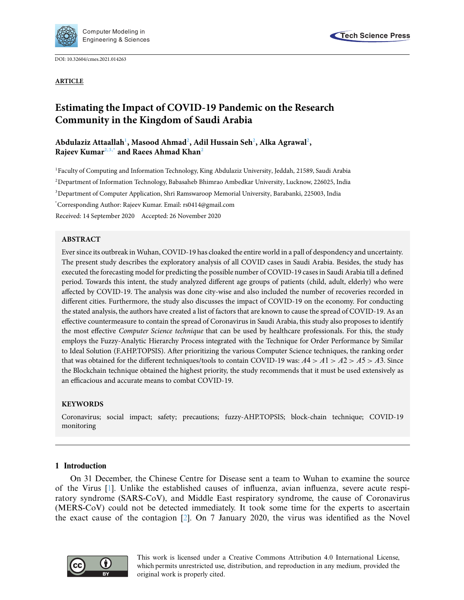

DOI: [10.32604/cmes.2021.014263](http://dx.doi.org/10.32604/cmes.2021.014263)

**ARTICLE**



# **Estimating the Impact of COVID-19 Pandemic on the Research Community in the Kingdom of Saudi Arabia**

# Abdulaziz Attaallah<sup>1</sup>, Masood Ahmad<sup>2</sup>, Adil Hussain Seh<sup>2</sup>, Alka Agrawal<sup>2</sup>, **Rajeev Kuma[r2,](#page-0-1)[3,](#page-0-2)[\\*](#page-0-3) and Raees Ahmad Kha[n2](#page-0-1)**

<span id="page-0-2"></span><span id="page-0-1"></span><span id="page-0-0"></span>1 Faculty of Computing and Information Technology, King Abdulaziz University, Jeddah, 21589, Saudi Arabia 2 Department of Information Technology, Babasaheb Bhimrao Ambedkar University, Lucknow, 226025, India 3 Department of Computer Application, Shri Ramswaroop Memorial University, Barabanki, 225003, India \* Corresponding Author: Rajeev Kumar. Email: rs0414@gmail.com Received: 14 September 2020 Accepted: 26 November 2020

# <span id="page-0-3"></span>**ABSTRACT**

Ever since its outbreak in Wuhan, COVID-19 has cloaked the entire world in a pall of despondency and uncertainty. The present study describes the exploratory analysis of all COVID cases in Saudi Arabia. Besides, the study has executed the forecasting model for predicting the possible number of COVID-19 cases in Saudi Arabia till a defined period. Towards this intent, the study analyzed different age groups of patients (child, adult, elderly) who were affected by COVID-19. The analysis was done city-wise and also included the number of recoveries recorded in different cities. Furthermore, the study also discusses the impact of COVID-19 on the economy. For conducting the stated analysis, the authors have created a list of factors that are known to cause the spread of COVID-19. As an effective countermeasure to contain the spread of Coronavirus in Saudi Arabia, this study also proposes to identify the most effective *Computer Science technique* that can be used by healthcare professionals. For this, the study employs the Fuzzy-Analytic Hierarchy Process integrated with the Technique for Order Performance by Similar to Ideal Solution (F.AHP.TOPSIS). After prioritizing the various Computer Science techniques, the ranking order that was obtained for the different techniques/tools to contain COVID-19 was:  $A4 > A1 > A2 > A5 > A3$ . Since the Blockchain technique obtained the highest priority, the study recommends that it must be used extensively as an efficacious and accurate means to combat COVID-19.

# **KEYWORDS**

Coronavirus; social impact; safety; precautions; fuzzy-AHP.TOPSIS; block-chain technique; COVID-19 monitoring

#### **1 Introduction**

On 31 December, the Chinese Centre for Disease sent a team to Wuhan to examine the source of the Virus [\[1](#page-16-0)]. Unlike the established causes of influenza, avian influenza, severe acute respiratory syndrome (SARS-CoV), and Middle East respiratory syndrome, the cause of Coronavirus (MERS-CoV) could not be detected immediately. It took some time for the experts to ascertain the exact cause of the contagion [\[2](#page-16-1)]. On 7 January 2020, the virus was identified as the Novel

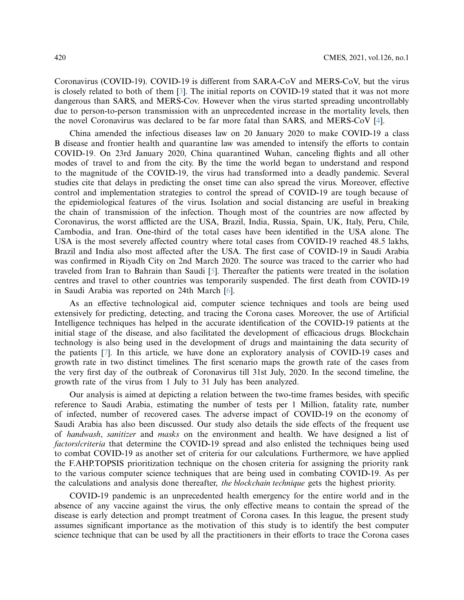Coronavirus (COVID-19). COVID-19 is different from SARA-CoV and MERS-CoV, but the virus is closely related to both of them [\[3\]](#page-16-2). The initial reports on COVID-19 stated that it was not more dangerous than SARS, and MERS-Cov. However when the virus started spreading uncontrollably due to person-to-person transmission with an unprecedented increase in the mortality levels, then the novel Coronavirus was declared to be far more fatal than SARS, and MERS-CoV [\[4](#page-16-3)].

China amended the infectious diseases law on 20 January 2020 to make COVID-19 a class B disease and frontier health and quarantine law was amended to intensify the efforts to contain COVID-19. On 23rd January 2020, China quarantined Wuhan, canceling flights and all other modes of travel to and from the city. By the time the world began to understand and respond to the magnitude of the COVID-19, the virus had transformed into a deadly pandemic. Several studies cite that delays in predicting the onset time can also spread the virus. Moreover, effective control and implementation strategies to control the spread of COVID-19 are tough because of the epidemiological features of the virus. Isolation and social distancing are useful in breaking the chain of transmission of the infection. Though most of the countries are now affected by Coronavirus, the worst afflicted are the USA, Brazil, India, Russia, Spain, UK, Italy, Peru, Chile, Cambodia, and Iran. One-third of the total cases have been identified in the USA alone. The USA is the most severely affected country where total cases from COVID-19 reached 48.5 lakhs, Brazil and India also most affected after the USA. The first case of COVID-19 in Saudi Arabia was confirmed in Riyadh City on 2nd March 2020. The source was traced to the carrier who had traveled from Iran to Bahrain than Saudi [\[5\]](#page-16-4). Thereafter the patients were treated in the isolation centres and travel to other countries was temporarily suspended. The first death from COVID-19 in Saudi Arabia was reported on 24th March [\[6](#page-16-5)].

As an effective technological aid, computer science techniques and tools are being used extensively for predicting, detecting, and tracing the Corona cases. Moreover, the use of Artificial Intelligence techniques has helped in the accurate identification of the COVID-19 patients at the initial stage of the disease, and also facilitated the development of efficacious drugs. Blockchain technology is also being used in the development of drugs and maintaining the data security of the patients [\[7](#page-16-6)]. In this article, we have done an exploratory analysis of COVID-19 cases and growth rate in two distinct timelines. The first scenario maps the growth rate of the cases from the very first day of the outbreak of Coronavirus till 31st July, 2020. In the second timeline, the growth rate of the virus from 1 July to 31 July has been analyzed.

Our analysis is aimed at depicting a relation between the two-time frames besides, with specific reference to Saudi Arabia, estimating the number of tests per 1 Million, fatality rate, number of infected, number of recovered cases. The adverse impact of COVID-19 on the economy of Saudi Arabia has also been discussed. Our study also details the side effects of the frequent use of *handwash*, *sanitizer* and *masks* on the environment and health. We have designed a list of *factors/criteria* that determine the COVID-19 spread and also enlisted the techniques being used to combat COVID-19 as another set of criteria for our calculations. Furthermore, we have applied the F.AHP.TOPSIS prioritization technique on the chosen criteria for assigning the priority rank to the various computer science techniques that are being used in combating COVID-19. As per the calculations and analysis done thereafter, *the blockchain technique* gets the highest priority.

COVID-19 pandemic is an unprecedented health emergency for the entire world and in the absence of any vaccine against the virus, the only effective means to contain the spread of the disease is early detection and prompt treatment of Corona cases. In this league, the present study assumes significant importance as the motivation of this study is to identify the best computer science technique that can be used by all the practitioners in their efforts to trace the Corona cases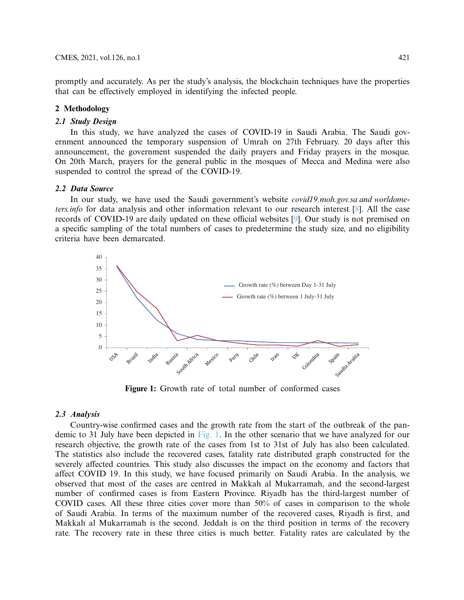promptly and accurately. As per the study's analysis, the blockchain techniques have the properties that can be effectively employed in identifying the infected people.

# **2 Methodology**

# *2.1 Study Design*

In this study, we have analyzed the cases of COVID-19 in Saudi Arabia. The Saudi government announced the temporary suspension of Umrah on 27th February. 20 days after this announcement, the government suspended the daily prayers and Friday prayers in the mosque. On 20th March, prayers for the general public in the mosques of Mecca and Medina were also suspended to control the spread of the COVID-19.

# *2.2 Data Source*

In our study, we have used the Saudi government's website *covid19.moh.gov.sa and worldometers.info* for data analysis and other information relevant to our research interest [\[8\]](#page-16-7). All the case records of COVID-19 are daily updated on these official websites [\[9](#page-16-8)]. Our study is not premised on a specific sampling of the total numbers of cases to predetermine the study size, and no eligibility criteria have been demarcated.



<span id="page-2-0"></span>**Figure 1:** Growth rate of total number of conformed cases

#### *2.3 Analysis*

Country-wise confirmed cases and the growth rate from the start of the outbreak of the pandemic to 31 July have been depicted in [Fig. 1.](#page-2-0) In the other scenario that we have analyzed for our research objective, the growth rate of the cases from 1st to 31st of July has also been calculated. The statistics also include the recovered cases, fatality rate distributed graph constructed for the severely affected countries. This study also discusses the impact on the economy and factors that affect COVID 19. In this study, we have focused primarily on Saudi Arabia. In the analysis, we observed that most of the cases are centred in Makkah al Mukarramah, and the second-largest number of confirmed cases is from Eastern Province. Riyadh has the third-largest number of COVID cases. All these three cities cover more than 50% of cases in comparison to the whole of Saudi Arabia. In terms of the maximum number of the recovered cases, Riyadh is first, and Makkah al Mukarramah is the second. Jeddah is on the third position in terms of the recovery rate. The recovery rate in these three cities is much better. Fatality rates are calculated by the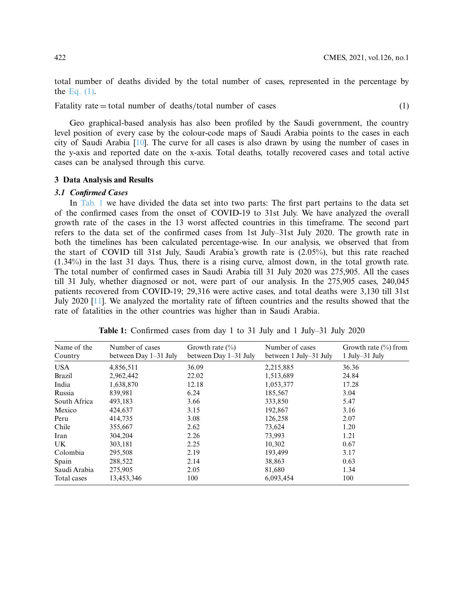<span id="page-3-0"></span>total number of deaths divided by the total number of cases, represented in the percentage by the Eq.  $(1)$ .

Fatality rate  $=$  total number of deaths/total number of cases (1)

Geo graphical-based analysis has also been profiled by the Saudi government, the country level position of every case by the colour-code maps of Saudi Arabia points to the cases in each city of Saudi Arabia [\[10](#page-16-9)]. The curve for all cases is also drawn by using the number of cases in the y-axis and reported date on the x-axis. Total deaths, totally recovered cases and total active cases can be analysed through this curve.

#### **3 Data Analysis and Results**

### *3.1 Confirmed Cases*

In [Tab. 1](#page-3-1) we have divided the data set into two parts: The first part pertains to the data set of the confirmed cases from the onset of COVID-19 to 31st July. We have analyzed the overall growth rate of the cases in the 13 worst affected countries in this timeframe. The second part refers to the data set of the confirmed cases from 1st July–31st July 2020. The growth rate in both the timelines has been calculated percentage-wise. In our analysis, we observed that from the start of COVID till 31st July, Saudi Arabia's growth rate is (2.05%), but this rate reached (1.34%) in the last 31 days. Thus, there is a rising curve, almost down, in the total growth rate. The total number of confirmed cases in Saudi Arabia till 31 July 2020 was 275,905. All the cases till 31 July, whether diagnosed or not, were part of our analysis. In the 275,905 cases, 240,045 patients recovered from COVID-19; 29,316 were active cases, and total deaths were 3,130 till 31st July 2020 [\[11\]](#page-16-10). We analyzed the mortality rate of fifteen countries and the results showed that the rate of fatalities in the other countries was higher than in Saudi Arabia.

| Name of the<br>Country | Number of cases<br>between Day 1–31 July | Growth rate $(\% )$<br>between Day 1–31 July | Number of cases<br>between 1 July–31 July | Growth rate $(\% )$ from<br>$1$ July-31 July |
|------------------------|------------------------------------------|----------------------------------------------|-------------------------------------------|----------------------------------------------|
| <b>USA</b>             | 4,856,511                                | 36.09                                        | 2,215,885                                 | 36.36                                        |
| <b>Brazil</b>          | 2,962,442                                | 22.02                                        | 1,513,689                                 | 24.84                                        |
| India                  | 1,638,870                                | 12.18                                        | 1,053,377                                 | 17.28                                        |
| Russia                 | 839,981                                  | 6.24                                         | 185,567                                   | 3.04                                         |
| South Africa           | 493,183                                  | 3.66                                         | 333,850                                   | 5.47                                         |
| Mexico                 | 424,637                                  | 3.15                                         | 192,867                                   | 3.16                                         |
| Peru                   | 414,735                                  | 3.08                                         | 126,258                                   | 2.07                                         |
| Chile                  | 355,667                                  | 2.62                                         | 73,624                                    | 1.20                                         |
| Iran                   | 304,204                                  | 2.26                                         | 73,993                                    | 1.21                                         |
| UK.                    | 303,181                                  | 2.25                                         | 10,302                                    | 0.67                                         |
| Colombia               | 295,508                                  | 2.19                                         | 193,499                                   | 3.17                                         |
| Spain                  | 288,522                                  | 2.14                                         | 38,863                                    | 0.63                                         |
| Saudi Arabia           | 275,905                                  | 2.05                                         | 81,680                                    | 1.34                                         |
| Total cases            | 13,453,346                               | 100                                          | 6,093,454                                 | 100                                          |

<span id="page-3-1"></span>**Table 1:** Confirmed cases from day 1 to 31 July and 1 July–31 July 2020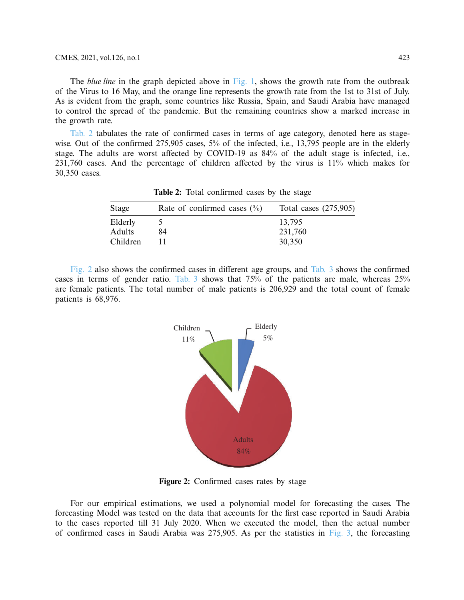The *blue line* in the graph depicted above in [Fig. 1,](#page-2-0) shows the growth rate from the outbreak of the Virus to 16 May, and the orange line represents the growth rate from the 1st to 31st of July. As is evident from the graph, some countries like Russia, Spain, and Saudi Arabia have managed to control the spread of the pandemic. But the remaining countries show a marked increase in the growth rate.

[Tab. 2](#page-4-0) tabulates the rate of confirmed cases in terms of age category, denoted here as stagewise. Out of the confirmed 275,905 cases, 5% of the infected, i.e., 13,795 people are in the elderly stage. The adults are worst affected by COVID-19 as 84% of the adult stage is infected, i.e., 231,760 cases. And the percentage of children affected by the virus is 11% which makes for 30,350 cases.

| Stage    | Rate of confirmed cases $(\% )$ | Total cases $(275,905)$ |
|----------|---------------------------------|-------------------------|
| Elderly  |                                 | 13,795                  |
| Adults   | 84                              | 231,760                 |
| Children |                                 | 30,350                  |

<span id="page-4-0"></span>**Table 2:** Total confirmed cases by the stage

[Fig. 2](#page-4-1) also shows the confirmed cases in different age groups, and [Tab. 3](#page-5-0) shows the confirmed cases in terms of gender ratio. [Tab. 3](#page-5-0) shows that 75% of the patients are male, whereas 25% are female patients. The total number of male patients is 206,929 and the total count of female patients is 68,976.



<span id="page-4-1"></span>**Figure 2:** Confirmed cases rates by stage

For our empirical estimations, we used a polynomial model for forecasting the cases. The forecasting Model was tested on the data that accounts for the first case reported in Saudi Arabia to the cases reported till 31 July 2020. When we executed the model, then the actual number of confirmed cases in Saudi Arabia was 275,905. As per the statistics in [Fig. 3,](#page-5-1) the forecasting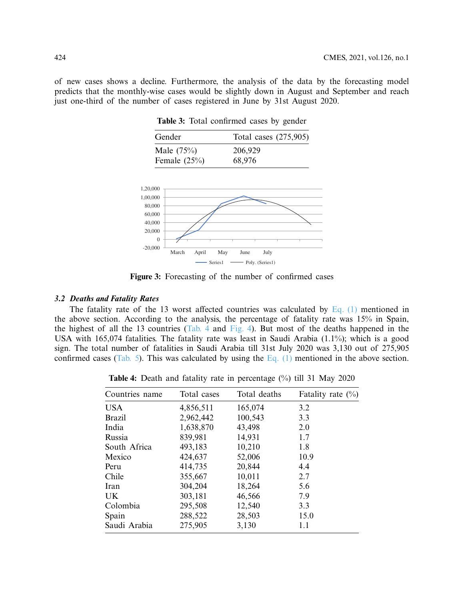of new cases shows a decline. Furthermore, the analysis of the data by the forecasting model predicts that the monthly-wise cases would be slightly down in August and September and reach just one-third of the number of cases registered in June by 31st August 2020.

<span id="page-5-0"></span>**Table 3:** Total confirmed cases by gender

| Gender          | Total cases (275,905) |
|-----------------|-----------------------|
| Male $(75%)$    | 206,929               |
| Female $(25\%)$ | 68,976                |



<span id="page-5-1"></span>**Figure 3:** Forecasting of the number of confirmed cases

# *3.2 Deaths and Fatality Rates*

The fatality rate of the 13 worst affected countries was calculated by Eq.  $(1)$  mentioned in the above section. According to the analysis, the percentage of fatality rate was 15% in Spain, the highest of all the 13 countries [\(Tab. 4](#page-5-2) and [Fig. 4\)](#page-6-0). But most of the deaths happened in the USA with 165,074 fatalities. The fatality rate was least in Saudi Arabia (1.1%); which is a good sign. The total number of fatalities in Saudi Arabia till 31st July 2020 was 3,130 out of 275,905 confirmed cases [\(Tab. 5\)](#page-6-1). This was calculated by using the Eq.  $(1)$  mentioned in the above section.

<span id="page-5-2"></span>**Table 4:** Death and fatality rate in percentage (%) till 31 May 2020

| Countries name | Total cases | Total deaths | Fatality rate $(\%)$ |
|----------------|-------------|--------------|----------------------|
| <b>USA</b>     | 4,856,511   | 165,074      | 3.2                  |
| <b>Brazil</b>  | 2,962,442   | 100,543      | 3.3                  |
| India          | 1,638,870   | 43,498       | 2.0                  |
| Russia         | 839,981     | 14,931       | 1.7                  |
| South Africa   | 493,183     | 10,210       | 1.8                  |
| Mexico         | 424,637     | 52,006       | 10.9                 |
| Peru           | 414,735     | 20,844       | 4.4                  |
| Chile          | 355,667     | 10,011       | 2.7                  |
| Iran           | 304,204     | 18,264       | 5.6                  |
| UK.            | 303,181     | 46,566       | 7.9                  |
| Colombia       | 295,508     | 12,540       | 3.3                  |
| Spain          | 288,522     | 28,503       | 15.0                 |
| Saudi Arabia   | 275,905     | 3,130        | 1.1                  |
|                |             |              |                      |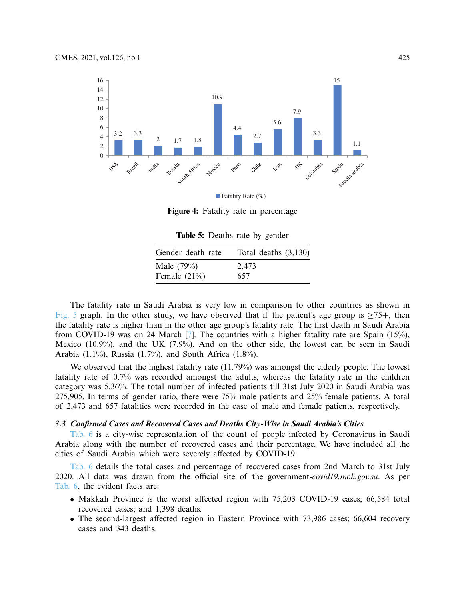

**Figure 4:** Fatality rate in percentage

<span id="page-6-1"></span><span id="page-6-0"></span>**Table 5:** Deaths rate by gender

| Gender death rate | Total deaths $(3,130)$ |
|-------------------|------------------------|
| Male $(79%)$      | 2,473                  |
| Female $(21\%)$   | 657                    |

The fatality rate in Saudi Arabia is very low in comparison to other countries as shown in [Fig. 5](#page-6-0) graph. In the other study, we have observed that if the patient's age group is  $\geq 75+$ , then the fatality rate is higher than in the other age group's fatality rate. The first death in Saudi Arabia from COVID-19 was on 24 March [\[7](#page-16-6)]. The countries with a higher fatality rate are Spain (15%), Mexico (10.9%), and the UK (7.9%). And on the other side, the lowest can be seen in Saudi Arabia (1.1%), Russia (1.7%), and South Africa (1.8%).

We observed that the highest fatality rate (11.79%) was amongst the elderly people. The lowest fatality rate of 0.7% was recorded amongst the adults, whereas the fatality rate in the children category was 5.36%. The total number of infected patients till 31st July 2020 in Saudi Arabia was 275,905. In terms of gender ratio, there were 75% male patients and 25% female patients. A total of 2,473 and 657 fatalities were recorded in the case of male and female patients, respectively.

# *3.3 Confirmed Cases and Recovered Cases and Deaths City-Wise in Saudi Arabia's Cities*

[Tab. 6](#page-7-0) is a city-wise representation of the count of people infected by Coronavirus in Saudi Arabia along with the number of recovered cases and their percentage. We have included all the cities of Saudi Arabia which were severely affected by COVID-19.

[Tab. 6](#page-7-0) details the total cases and percentage of recovered cases from 2nd March to 31st July 2020. All data was drawn from the official site of the government-*covid19.moh.gov.sa*. As per [Tab. 6,](#page-7-0) the evident facts are:

- Makkah Province is the worst affected region with 75,203 COVID-19 cases; 66,584 total recovered cases; and 1,398 deaths.
- The second-largest affected region in Eastern Province with 73,986 cases; 66,604 recovery cases and 343 deaths.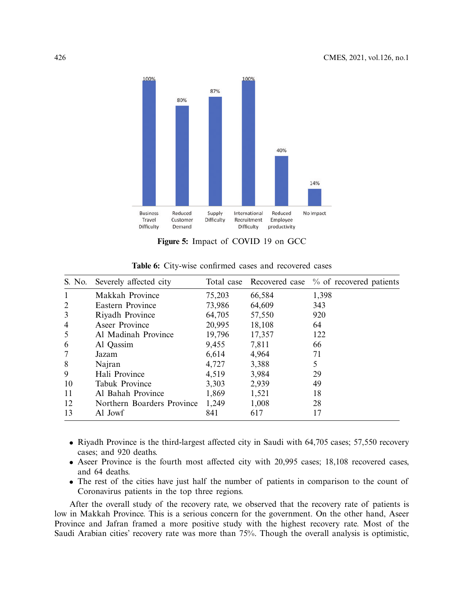

<span id="page-7-1"></span><span id="page-7-0"></span>**Figure 5:** Impact of COVID 19 on GCC

| S. No.         | Severely affected city     |        |        | Total case Recovered case % of recovered patients |
|----------------|----------------------------|--------|--------|---------------------------------------------------|
| 1              | Makkah Province            | 75,203 | 66,584 | 1,398                                             |
| $\overline{2}$ | Eastern Province           | 73,986 | 64,609 | 343                                               |
| 3              | Riyadh Province            | 64,705 | 57,550 | 920                                               |
| $\overline{4}$ | Aseer Province             | 20,995 | 18,108 | 64                                                |
| 5              | Al Madinah Province        | 19,796 | 17,357 | 122                                               |
| 6              | Al Qassim                  | 9,455  | 7,811  | 66                                                |
| 7              | Jazam                      | 6,614  | 4,964  | 71                                                |
| 8              | Najran                     | 4,727  | 3,388  | 5                                                 |
| 9              | Hali Province              | 4,519  | 3,984  | 29                                                |
| 10             | <b>Tabuk Province</b>      | 3,303  | 2,939  | 49                                                |
| 11             | Al Bahah Province          | 1,869  | 1,521  | 18                                                |
| 12             | Northern Boarders Province | 1,249  | 1,008  | 28                                                |
| 13             | Al Jowf                    | 841    | 617    | 17                                                |

**Table 6:** City-wise confirmed cases and recovered cases

- Riyadh Province is the third-largest affected city in Saudi with 64,705 cases; 57,550 recovery cases; and 920 deaths.
- Aseer Province is the fourth most affected city with 20,995 cases; 18,108 recovered cases, and 64 deaths.
- The rest of the cities have just half the number of patients in comparison to the count of Coronavirus patients in the top three regions.

After the overall study of the recovery rate, we observed that the recovery rate of patients is low in Makkah Province. This is a serious concern for the government. On the other hand, Aseer Province and Jafran framed a more positive study with the highest recovery rate. Most of the Saudi Arabian cities' recovery rate was more than 75%. Though the overall analysis is optimistic,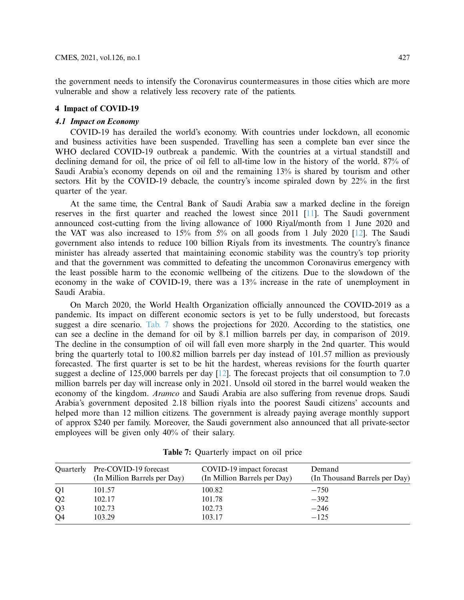the government needs to intensify the Coronavirus countermeasures in those cities which are more vulnerable and show a relatively less recovery rate of the patients.

# **4 Impact of COVID-19**

# *4.1 Impact on Economy*

COVID-19 has derailed the world's economy. With countries under lockdown, all economic and business activities have been suspended. Travelling has seen a complete ban ever since the WHO declared COVID-19 outbreak a pandemic. With the countries at a virtual standstill and declining demand for oil, the price of oil fell to all-time low in the history of the world. 87% of Saudi Arabia's economy depends on oil and the remaining 13% is shared by tourism and other sectors. Hit by the COVID-19 debacle, the country's income spiraled down by 22% in the first quarter of the year.

At the same time, the Central Bank of Saudi Arabia saw a marked decline in the foreign reserves in the first quarter and reached the lowest since 2011 [\[11](#page-16-10)]. The Saudi government announced cost-cutting from the living allowance of 1000 Riyal/month from 1 June 2020 and the VAT was also increased to 15% from 5% on all goods from 1 July 2020 [\[12](#page-16-11)]. The Saudi government also intends to reduce 100 billion Riyals from its investments. The country's finance minister has already asserted that maintaining economic stability was the country's top priority and that the government was committed to defeating the uncommon Coronavirus emergency with the least possible harm to the economic wellbeing of the citizens. Due to the slowdown of the economy in the wake of COVID-19, there was a 13% increase in the rate of unemployment in Saudi Arabia.

On March 2020, the World Health Organization officially announced the COVID-2019 as a pandemic. Its impact on different economic sectors is yet to be fully understood, but forecasts suggest a dire scenario. [Tab. 7](#page-8-0) shows the projections for 2020. According to the statistics, one can see a decline in the demand for oil by 8.1 million barrels per day, in comparison of 2019. The decline in the consumption of oil will fall even more sharply in the 2nd quarter. This would bring the quarterly total to 100.82 million barrels per day instead of 101.57 million as previously forecasted. The first quarter is set to be hit the hardest, whereas revisions for the fourth quarter suggest a decline of 125,000 barrels per day [\[12\]](#page-16-11). The forecast projects that oil consumption to 7.0 million barrels per day will increase only in 2021. Unsold oil stored in the barrel would weaken the economy of the kingdom. *Aramco* and Saudi Arabia are also suffering from revenue drops. Saudi Arabia's government deposited 2.18 billion riyals into the poorest Saudi citizens' accounts and helped more than 12 million citizens. The government is already paying average monthly support of approx \$240 per family. Moreover, the Saudi government also announced that all private-sector employees will be given only 40% of their salary.

| Quarterly      | Pre-COVID-19 forecast<br>(In Million Barrels per Day) | COVID-19 impact forecast<br>(In Million Barrels per Day) | Demand<br>(In Thousand Barrels per Day) |
|----------------|-------------------------------------------------------|----------------------------------------------------------|-----------------------------------------|
| Q <sub>1</sub> | 101.57                                                | 100.82                                                   | $-750$                                  |
| Q <sub>2</sub> | 102.17                                                | 101.78                                                   | $-392$                                  |
| Q <sub>3</sub> | 102.73                                                | 102.73                                                   | $-246$                                  |
| Q4             | 103.29                                                | 103.17                                                   | $-125$                                  |

<span id="page-8-0"></span>**Table 7:** Quarterly impact on oil price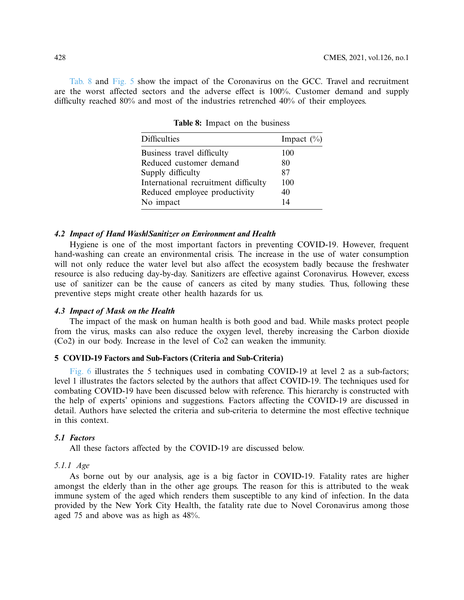[Tab. 8](#page-9-0) and [Fig. 5](#page-7-1) show the impact of the Coronavirus on the GCC. Travel and recruitment are the worst affected sectors and the adverse effect is 100%. Customer demand and supply difficulty reached 80% and most of the industries retrenched 40% of their employees.

| <b>Difficulties</b>                  | Impact $(\%)$ |
|--------------------------------------|---------------|
| Business travel difficulty           | 100           |
| Reduced customer demand              | 80            |
| Supply difficulty                    | 87            |
| International recruitment difficulty | 100           |
| Reduced employee productivity        | 40            |
| No impact                            | 14            |

<span id="page-9-0"></span>**Table 8:** Impact on the business

### *4.2 Impact of Hand Wash/Sanitizer on Environment and Health*

Hygiene is one of the most important factors in preventing COVID-19. However, frequent hand-washing can create an environmental crisis. The increase in the use of water consumption will not only reduce the water level but also affect the ecosystem badly because the freshwater resource is also reducing day-by-day. Sanitizers are effective against Coronavirus. However, excess use of sanitizer can be the cause of cancers as cited by many studies. Thus, following these preventive steps might create other health hazards for us.

# *4.3 Impact of Mask on the Health*

The impact of the mask on human health is both good and bad. While masks protect people from the virus, masks can also reduce the oxygen level, thereby increasing the Carbon dioxide (Co2) in our body. Increase in the level of Co2 can weaken the immunity.

# **5 COVID-19 Factors and Sub-Factors (Criteria and Sub-Criteria)**

[Fig. 6](#page-10-0) illustrates the 5 techniques used in combating COVID-19 at level 2 as a sub-factors; level 1 illustrates the factors selected by the authors that affect COVID-19. The techniques used for combating COVID-19 have been discussed below with reference. This hierarchy is constructed with the help of experts' opinions and suggestions. Factors affecting the COVID-19 are discussed in detail. Authors have selected the criteria and sub-criteria to determine the most effective technique in this context.

### *5.1 Factors*

All these factors affected by the COVID-19 are discussed below.

#### *5.1.1 Age*

As borne out by our analysis, age is a big factor in COVID-19. Fatality rates are higher amongst the elderly than in the other age groups. The reason for this is attributed to the weak immune system of the aged which renders them susceptible to any kind of infection. In the data provided by the New York City Health, the fatality rate due to Novel Coronavirus among those aged 75 and above was as high as 48%.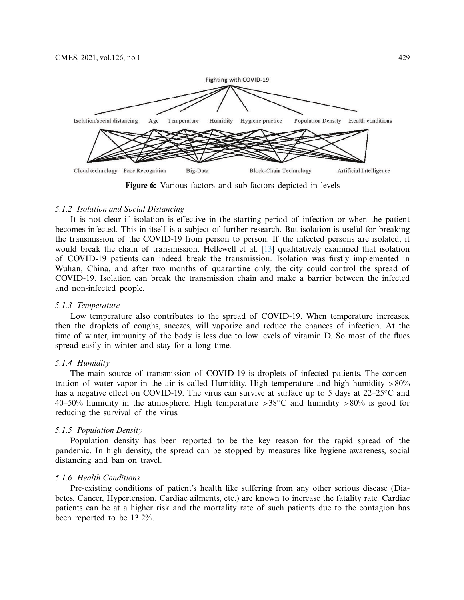

<span id="page-10-0"></span>**Figure 6:** Various factors and sub-factors depicted in levels

### *5.1.2 Isolation and Social Distancing*

It is not clear if isolation is effective in the starting period of infection or when the patient becomes infected. This in itself is a subject of further research. But isolation is useful for breaking the transmission of the COVID-19 from person to person. If the infected persons are isolated, it would break the chain of transmission. Hellewell et al. [\[13](#page-17-0)] qualitatively examined that isolation of COVID-19 patients can indeed break the transmission. Isolation was firstly implemented in Wuhan, China, and after two months of quarantine only, the city could control the spread of COVID-19. Isolation can break the transmission chain and make a barrier between the infected and non-infected people.

### *5.1.3 Temperature*

Low temperature also contributes to the spread of COVID-19. When temperature increases, then the droplets of coughs, sneezes, will vaporize and reduce the chances of infection. At the time of winter, immunity of the body is less due to low levels of vitamin D. So most of the flues spread easily in winter and stay for a long time.

### *5.1.4 Humidity*

The main source of transmission of COVID-19 is droplets of infected patients. The concentration of water vapor in the air is called Humidity. High temperature and high humidity  $>80\%$ has a negative effect on COVID-19. The virus can survive at surface up to 5 days at 22–25◦C and 40–50% humidity in the atmosphere. High temperature  $>38^{\circ}$ C and humidity  $>80\%$  is good for reducing the survival of the virus.

#### *5.1.5 Population Density*

Population density has been reported to be the key reason for the rapid spread of the pandemic. In high density, the spread can be stopped by measures like hygiene awareness, social distancing and ban on travel.

#### *5.1.6 Health Conditions*

Pre-existing conditions of patient's health like suffering from any other serious disease (Diabetes, Cancer, Hypertension, Cardiac ailments, etc.) are known to increase the fatality rate. Cardiac patients can be at a higher risk and the mortality rate of such patients due to the contagion has been reported to be 13.2%.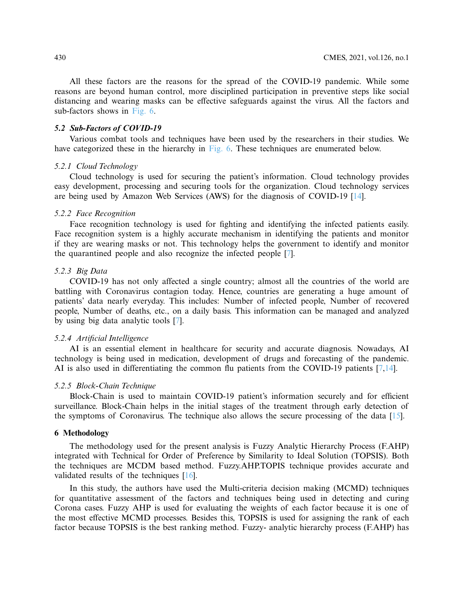All these factors are the reasons for the spread of the COVID-19 pandemic. While some reasons are beyond human control, more disciplined participation in preventive steps like social distancing and wearing masks can be effective safeguards against the virus. All the factors and sub-factors shows in [Fig. 6.](#page-10-0)

#### *5.2 Sub-Factors of COVID-19*

Various combat tools and techniques have been used by the researchers in their studies. We have categorized these in the hierarchy in [Fig. 6.](#page-10-0) These techniques are enumerated below.

# *5.2.1 Cloud Technology*

Cloud technology is used for securing the patient's information. Cloud technology provides easy development, processing and securing tools for the organization. Cloud technology services are being used by Amazon Web Services (AWS) for the diagnosis of COVID-19 [\[14](#page-17-1)].

#### *5.2.2 Face Recognition*

Face recognition technology is used for fighting and identifying the infected patients easily. Face recognition system is a highly accurate mechanism in identifying the patients and monitor if they are wearing masks or not. This technology helps the government to identify and monitor the quarantined people and also recognize the infected people [\[7\]](#page-16-6).

# *5.2.3 Big Data*

COVID-19 has not only affected a single country; almost all the countries of the world are battling with Coronavirus contagion today. Hence, countries are generating a huge amount of patients' data nearly everyday. This includes: Number of infected people, Number of recovered people, Number of deaths, etc., on a daily basis. This information can be managed and analyzed by using big data analytic tools [\[7](#page-16-6)].

### *5.2.4 Artificial Intelligence*

AI is an essential element in healthcare for security and accurate diagnosis. Nowadays, AI technology is being used in medication, development of drugs and forecasting of the pandemic. AI is also used in differentiating the common flu patients from the COVID-19 patients [\[7](#page-16-6)[,14](#page-17-1)].

# *5.2.5 Block-Chain Technique*

Block-Chain is used to maintain COVID-19 patient's information securely and for efficient surveillance. Block-Chain helps in the initial stages of the treatment through early detection of the symptoms of Coronavirus. The technique also allows the secure processing of the data [\[15\]](#page-17-2).

# **6 Methodology**

The methodology used for the present analysis is Fuzzy Analytic Hierarchy Process (F.AHP) integrated with Technical for Order of Preference by Similarity to Ideal Solution (TOPSIS). Both the techniques are MCDM based method. Fuzzy.AHP.TOPIS technique provides accurate and validated results of the techniques [\[16\]](#page-17-3).

In this study, the authors have used the Multi-criteria decision making (MCMD) techniques for quantitative assessment of the factors and techniques being used in detecting and curing Corona cases. Fuzzy AHP is used for evaluating the weights of each factor because it is one of the most effective MCMD processes. Besides this, TOPSIS is used for assigning the rank of each factor because TOPSIS is the best ranking method. Fuzzy- analytic hierarchy process (F.AHP) has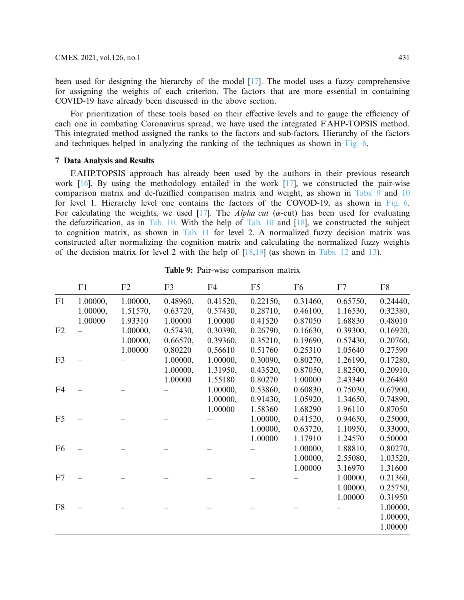been used for designing the hierarchy of the model [\[17\]](#page-17-4). The model uses a fuzzy comprehensive for assigning the weights of each criterion. The factors that are more essential in containing COVID-19 have already been discussed in the above section.

For prioritization of these tools based on their effective levels and to gauge the efficiency of each one in combating Coronavirus spread, we have used the integrated F.AHP-TOPSIS method. This integrated method assigned the ranks to the factors and sub-factors. Hierarchy of the factors and techniques helped in analyzing the ranking of the techniques as shown in [Fig. 6.](#page-10-0)

# **7 Data Analysis and Results**

F.AHP.TOPSIS approach has already been used by the authors in their previous research work  $[16]$ . By using the methodology entailed in the work  $[17]$ , we constructed the pair-wise comparison matrix and de-fuziffied comparison matrix and weight, as shown in [Tabs. 9](#page-12-0) and [10](#page-13-0) for level 1. Hierarchy level one contains the factors of the COVOD-19, as shown in [Fig. 6.](#page-10-0) For calculating the weights, we used [\[17\]](#page-17-4). The *Alpha cut* ( $\alpha$ -cut) has been used for evaluating the defuzzification, as in [Tab. 10.](#page-13-0) With the help of [Tab. 10](#page-13-0) and [\[18](#page-17-5)], we constructed the subject to cognition matrix, as shown in [Tab. 11](#page-13-1) for level 2. A normalized fuzzy decision matrix was constructed after normalizing the cognition matrix and calculating the normalized fuzzy weights of the decision matrix for level 2 with the help of  $[18,19]$  $[18,19]$  (as shown in [Tabs. 12](#page-14-0) and [13\)](#page-14-1).

|                | F1       | F2       | F <sub>3</sub> | F4       | F <sub>5</sub> | F <sub>6</sub> | F7       | F <sub>8</sub> |
|----------------|----------|----------|----------------|----------|----------------|----------------|----------|----------------|
| F1             | 1.00000, | 1.00000, | 0.48960,       | 0.41520, | 0.22150,       | 0.31460,       | 0.65750, | 0.24440,       |
|                | 1.00000, | 1.51570, | 0.63720,       | 0.57430, | 0.28710,       | 0.46100,       | 1.16530, | 0.32380,       |
|                | 1.00000  | 1.93310  | 1.00000        | 1.00000  | 0.41520        | 0.87050        | 1.68830  | 0.48010        |
| F2             |          | 1.00000, | 0.57430,       | 0.30390, | 0.26790,       | 0.16630,       | 0.39300, | 0.16920,       |
|                |          | 1.00000, | 0.66570,       | 0.39360, | 0.35210,       | 0.19690,       | 0.57430, | 0.20760,       |
|                |          | 1.00000  | 0.80220        | 0.56610  | 0.51760        | 0.25310        | 1.05640  | 0.27590        |
| F <sub>3</sub> |          |          | 1.00000,       | 1.00000, | 0.30090,       | 0.80270,       | 1.26190, | 0.17280,       |
|                |          |          | 1.00000,       | 1.31950, | 0.43520,       | 0.87050,       | 1.82500, | 0.20910,       |
|                |          |          | 1.00000        | 1.55180  | 0.80270        | 1.00000        | 2.43340  | 0.26480        |
| F <sub>4</sub> |          |          |                | 1.00000, | 0.53860,       | 0.60830,       | 0.75030, | 0.67900,       |
|                |          |          |                | 1.00000, | 0.91430,       | 1.05920,       | 1.34650, | 0.74890,       |
|                |          |          |                | 1.00000  | 1.58360        | 1.68290        | 1.96110  | 0.87050        |
| F <sub>5</sub> |          |          |                |          | 1.00000,       | 0.41520,       | 0.94650, | 0.25000,       |
|                |          |          |                |          | 1.00000,       | 0.63720,       | 1.10950, | 0.33000,       |
|                |          |          |                |          | 1.00000        | 1.17910        | 1.24570  | 0.50000        |
| F <sub>6</sub> |          |          |                |          |                | 1.00000,       | 1.88810, | 0.80270,       |
|                |          |          |                |          |                | 1.00000,       | 2.55080, | 1.03520,       |
|                |          |          |                |          |                | 1.00000        | 3.16970  | 1.31600        |
| F7             |          |          |                |          |                |                | 1.00000, | 0.21360,       |
|                |          |          |                |          |                |                | 1.00000, | 0.25750,       |
|                |          |          |                |          |                |                | 1.00000  | 0.31950        |
| F <sub>8</sub> |          |          |                |          |                |                |          | 1.00000,       |
|                |          |          |                |          |                |                |          | 1.00000,       |
|                |          |          |                |          |                |                |          | 1.00000        |

<span id="page-12-0"></span>**Table 9:** Pair-wise comparison matrix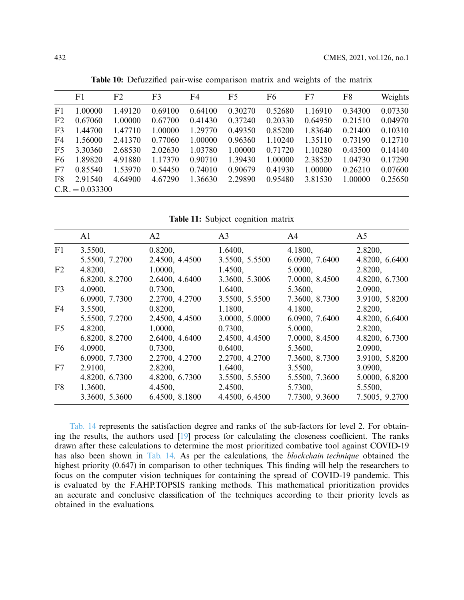|                | F1                | F2      | F3      | F4      | F5      | F6      | F7      | F8      | Weights |
|----------------|-------------------|---------|---------|---------|---------|---------|---------|---------|---------|
| F1             | 1.00000           | 1.49120 | 0.69100 | 0.64100 | 0.30270 | 0.52680 | 1.16910 | 0.34300 | 0.07330 |
| F <sub>2</sub> | 0.67060           | 1.00000 | 0.67700 | 0.41430 | 0.37240 | 0.20330 | 0.64950 | 0.21510 | 0.04970 |
| F <sub>3</sub> | 1.44700           | 1.47710 | 1.00000 | 1.29770 | 0.49350 | 0.85200 | 1.83640 | 0.21400 | 0.10310 |
| F4             | 1.56000           | 2.41370 | 0.77060 | 1.00000 | 0.96360 | 1.10240 | 1.35110 | 0.73190 | 0.12710 |
| F <sub>5</sub> | 3.30360           | 2.68530 | 2.02630 | 1.03780 | 1.00000 | 0.71720 | 1.10280 | 0.43500 | 0.14140 |
| F <sub>6</sub> | 1.89820           | 4.91880 | 1.17370 | 0.90710 | 1.39430 | 1.00000 | 2.38520 | 1.04730 | 0.17290 |
| F7             | 0.85540           | 1.53970 | 0.54450 | 0.74010 | 0.90679 | 0.41930 | 1.00000 | 0.26210 | 0.07600 |
| F8             | 2.91540           | 4.64900 | 4.67290 | 1.36630 | 2.29890 | 0.95480 | 3.81530 | 1.00000 | 0.25650 |
|                | $C.R. = 0.033300$ |         |         |         |         |         |         |         |         |

<span id="page-13-0"></span>**Table 10:** Defuzzified pair-wise comparison matrix and weights of the matrix

<span id="page-13-1"></span>**Table 11:** Subject cognition matrix

|                | A1             | A2             | A3             | A4             | A5             |
|----------------|----------------|----------------|----------------|----------------|----------------|
| F1             | 3.5500,        | 0.8200,        | 1.6400,        | 4.1800,        | 2.8200,        |
|                | 5.5500, 7.2700 | 2.4500, 4.4500 | 3.5500, 5.5500 | 6.0900, 7.6400 | 4.8200, 6.6400 |
| F2             | 4.8200,        | 1.0000,        | 1.4500,        | 5.0000,        | 2.8200,        |
|                | 6.8200, 8.2700 | 2.6400, 4.6400 | 3.3600, 5.3006 | 7.0000, 8.4500 | 4.8200, 6.7300 |
| F <sub>3</sub> | 4.0900,        | 0.7300,        | 1.6400,        | 5.3600,        | 2.0900,        |
|                | 6.0900, 7.7300 | 2.2700, 4.2700 | 3.5500, 5.5500 | 7.3600, 8.7300 | 3.9100, 5.8200 |
| F <sub>4</sub> | 3.5500,        | 0.8200,        | 1.1800,        | 4.1800,        | 2.8200,        |
|                | 5.5500, 7.2700 | 2.4500, 4.4500 | 3.0000, 5.0000 | 6.0900, 7.6400 | 4.8200, 6.6400 |
| F <sub>5</sub> | 4.8200,        | 1.0000,        | 0.7300,        | 5.0000,        | 2.8200,        |
|                | 6.8200, 8.2700 | 2.6400, 4.6400 | 2.4500, 4.4500 | 7.0000, 8.4500 | 4.8200, 6.7300 |
| F <sub>6</sub> | 4.0900,        | 0.7300,        | 0.6400,        | 5.3600,        | 2.0900,        |
|                | 6.0900, 7.7300 | 2.2700, 4.2700 | 2.2700, 4.2700 | 7.3600, 8.7300 | 3.9100, 5.8200 |
| F7             | 2.9100,        | 2.8200,        | 1.6400,        | 3.5500,        | 3.0900,        |
|                | 4.8200, 6.7300 | 4.8200, 6.7300 | 3.5500, 5.5500 | 5.5500, 7.3600 | 5.0000, 6.8200 |
| F8             | 1.3600,        | 4.4500,        | 2.4500,        | 5.7300,        | 5.5500,        |
|                | 3.3600, 5.3600 | 6.4500, 8.1800 | 4.4500, 6.4500 | 7.7300, 9.3600 | 7.5005, 9.2700 |

[Tab. 14](#page-15-0) represents the satisfaction degree and ranks of the sub-factors for level 2. For obtaining the results, the authors used [\[19\]](#page-17-6) process for calculating the closeness coefficient. The ranks drawn after these calculations to determine the most prioritized combative tool against COVID-19 has also been shown in [Tab. 14.](#page-15-0) As per the calculations, the *blockchain technique* obtained the highest priority (0.647) in comparison to other techniques. This finding will help the researchers to focus on the computer vision techniques for containing the spread of COVID-19 pandemic. This is evaluated by the F.AHP.TOPSIS ranking methods. This mathematical prioritization provides an accurate and conclusive classification of the techniques according to their priority levels as obtained in the evaluations.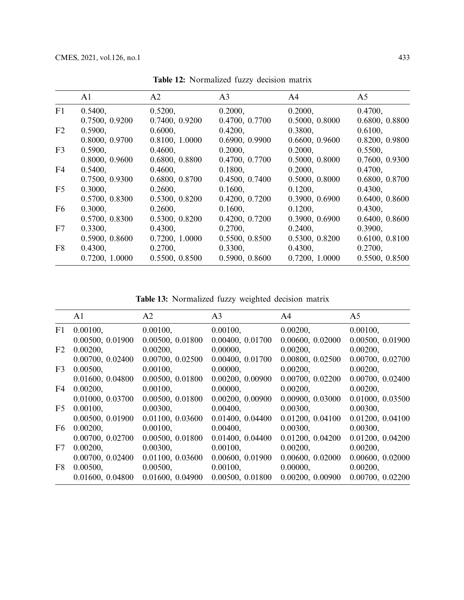|                | A1             | A2             | A <sub>3</sub> | A4             | A <sub>5</sub> |
|----------------|----------------|----------------|----------------|----------------|----------------|
| F1             | 0.5400,        | 0.5200,        | 0.2000,        | 0.2000,        | 0.4700,        |
|                | 0.7500, 0.9200 | 0.7400, 0.9200 | 0.4700, 0.7700 | 0.5000, 0.8000 | 0.6800, 0.8800 |
| F <sub>2</sub> | 0.5900,        | 0.6000,        | 0.4200,        | 0.3800,        | 0.6100,        |
|                | 0.8000, 0.9700 | 0.8100, 1.0000 | 0.6900, 0.9900 | 0.6600, 0.9600 | 0.8200, 0.9800 |
| F <sub>3</sub> | 0.5900,        | 0.4600,        | 0.2000,        | 0.2000,        | 0.5500,        |
|                | 0.8000, 0.9600 | 0.6800, 0.8800 | 0.4700, 0.7700 | 0.5000, 0.8000 | 0.7600, 0.9300 |
| F4             | 0.5400,        | 0.4600,        | 0.1800,        | 0.2000,        | 0.4700,        |
|                | 0.7500, 0.9300 | 0.6800, 0.8700 | 0.4500, 0.7400 | 0.5000, 0.8000 | 0.6800, 0.8700 |
| F <sub>5</sub> | 0.3000,        | 0.2600,        | 0.1600,        | 0.1200,        | 0.4300,        |
|                | 0.5700, 0.8300 | 0.5300, 0.8200 | 0.4200, 0.7200 | 0.3900, 0.6900 | 0.6400, 0.8600 |
| F <sub>6</sub> | 0.3000,        | 0.2600,        | 0.1600,        | 0.1200,        | 0.4300,        |
|                | 0.5700, 0.8300 | 0.5300, 0.8200 | 0.4200, 0.7200 | 0.3900, 0.6900 | 0.6400, 0.8600 |
| F7             | 0.3300,        | 0.4300,        | 0.2700,        | 0.2400,        | 0.3900,        |
|                | 0.5900, 0.8600 | 0.7200, 1.0000 | 0.5500, 0.8500 | 0.5300, 0.8200 | 0.6100, 0.8100 |
| F8             | 0.4300,        | 0.2700,        | 0.3300,        | 0.4300,        | 0.2700,        |
|                | 0.7200, 1.0000 | 0.5500, 0.8500 | 0.5900, 0.8600 | 0.7200, 1.0000 | 0.5500, 0.8500 |

<span id="page-14-0"></span>**Table 12:** Normalized fuzzy decision matrix

<span id="page-14-1"></span>**Table 13:** Normalized fuzzy weighted decision matrix

|             | A1               | A <sub>2</sub>   | A <sub>3</sub>   | A4               | A <sub>5</sub>   |
|-------------|------------------|------------------|------------------|------------------|------------------|
|             | F1 0.00100,      | 0.00100,         | 0.00100,         | 0.00200,         | 0.00100,         |
|             | 0.00500, 0.01900 | 0.00500, 0.01800 | 0.00400, 0.01700 | 0.00600, 0.02000 | 0.00500, 0.01900 |
| F2          | 0.00200,         | 0.00200,         | 0.00000,         | 0.00200,         | 0.00200,         |
|             | 0.00700, 0.02400 | 0.00700, 0.02500 | 0.00400, 0.01700 | 0.00800, 0.02500 | 0.00700, 0.02700 |
| F3          | 0.00500,         | 0.00100,         | 0.00000,         | 0.00200,         | 0.00200,         |
|             | 0.01600, 0.04800 | 0.00500, 0.01800 | 0.00200, 0.00900 | 0.00700, 0.02200 | 0.00700, 0.02400 |
| F4          | 0.00200,         | 0.00100,         | 0.00000,         | 0.00200,         | 0.00200,         |
|             | 0.01000, 0.03700 | 0.00500, 0.01800 | 0.00200, 0.00900 | 0.00900, 0.03000 | 0.01000, 0.03500 |
| F5          | 0.00100,         | 0.00300,         | 0.00400,         | 0.00300,         | 0.00300,         |
|             | 0.00500, 0.01900 | 0.01100, 0.03600 | 0.01400, 0.04400 | 0.01200, 0.04100 | 0.01200, 0.04100 |
| F6          | 0.00200,         | 0.00100,         | 0.00400,         | 0.00300,         | 0.00300,         |
|             | 0.00700, 0.02700 | 0.00500, 0.01800 | 0.01400, 0.04400 | 0.01200, 0.04200 | 0.01200, 0.04200 |
| F7          | 0.00200,         | 0.00300,         | 0.00100,         | 0.00200,         | 0.00200,         |
|             | 0.00700, 0.02400 | 0.01100, 0.03600 | 0.00600, 0.01900 | 0.00600, 0.02000 | 0.00600, 0.02000 |
| $_{\rm F8}$ | 0.00500,         | 0.00500,         | 0.00100,         | 0.00000,         | 0.00200,         |
|             | 0.01600, 0.04800 | 0.01600, 0.04900 | 0.00500, 0.01800 | 0.00200, 0.00900 | 0.00700, 0.02200 |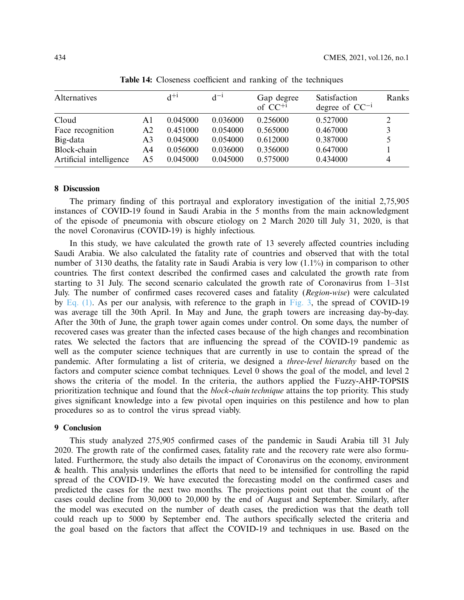| Alternatives            |    | $d^{+i}$ | $d^{-1}$ | Gap degree<br>of $CC^{+1}$ | Satisfaction<br>degree of $CC^{-1}$ | Ranks |
|-------------------------|----|----------|----------|----------------------------|-------------------------------------|-------|
| Cloud                   | Αl | 0.045000 | 0.036000 | 0.256000                   | 0.527000                            |       |
| Face recognition        | A2 | 0.451000 | 0.054000 | 0.565000                   | 0.467000                            | 3     |
| Big-data                | A3 | 0.045000 | 0.054000 | 0.612000                   | 0.387000                            | 5     |
| Block-chain             | A4 | 0.056000 | 0.036000 | 0.356000                   | 0.647000                            |       |
| Artificial intelligence | A5 | 0.045000 | 0.045000 | 0.575000                   | 0.434000                            | 4     |

<span id="page-15-0"></span>**Table 14:** Closeness coefficient and ranking of the techniques

# **8 Discussion**

The primary finding of this portrayal and exploratory investigation of the initial 2,75,905 instances of COVID-19 found in Saudi Arabia in the 5 months from the main acknowledgment of the episode of pneumonia with obscure etiology on 2 March 2020 till July 31, 2020, is that the novel Coronavirus (COVID-19) is highly infectious.

In this study, we have calculated the growth rate of 13 severely affected countries including Saudi Arabia. We also calculated the fatality rate of countries and observed that with the total number of 3130 deaths, the fatality rate in Saudi Arabia is very low (1.1%) in comparison to other countries. The first context described the confirmed cases and calculated the growth rate from starting to 31 July. The second scenario calculated the growth rate of Coronavirus from 1–31st July. The number of confirmed cases recovered cases and fatality (*Region-wise*) were calculated by [Eq. \(1\).](#page-3-0) As per our analysis, with reference to the graph in [Fig. 3,](#page-5-1) the spread of COVID-19 was average till the 30th April. In May and June, the graph towers are increasing day-by-day. After the 30th of June, the graph tower again comes under control. On some days, the number of recovered cases was greater than the infected cases because of the high changes and recombination rates. We selected the factors that are influencing the spread of the COVID-19 pandemic as well as the computer science techniques that are currently in use to contain the spread of the pandemic. After formulating a list of criteria, we designed a *three-level hierarchy* based on the factors and computer science combat techniques. Level 0 shows the goal of the model, and level 2 shows the criteria of the model. In the criteria, the authors applied the Fuzzy-AHP-TOPSIS prioritization technique and found that the *block-chain technique* attains the top priority. This study gives significant knowledge into a few pivotal open inquiries on this pestilence and how to plan procedures so as to control the virus spread viably.

#### **9 Conclusion**

This study analyzed 275,905 confirmed cases of the pandemic in Saudi Arabia till 31 July 2020. The growth rate of the confirmed cases, fatality rate and the recovery rate were also formulated. Furthermore, the study also details the impact of Coronavirus on the economy, environment & health. This analysis underlines the efforts that need to be intensified for controlling the rapid spread of the COVID-19. We have executed the forecasting model on the confirmed cases and predicted the cases for the next two months. The projections point out that the count of the cases could decline from 30,000 to 20,000 by the end of August and September. Similarly, after the model was executed on the number of death cases, the prediction was that the death toll could reach up to 5000 by September end. The authors specifically selected the criteria and the goal based on the factors that affect the COVID-19 and techniques in use. Based on the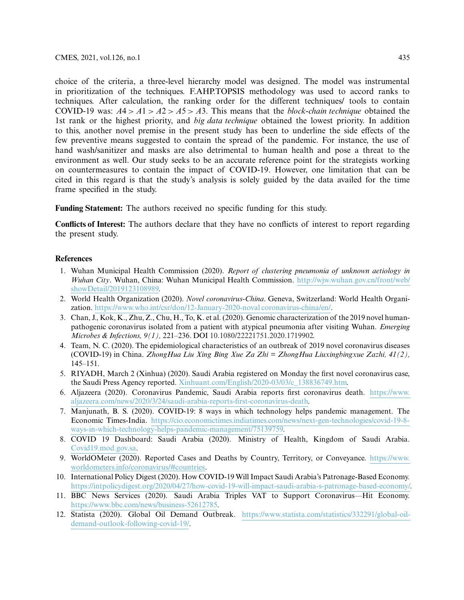choice of the criteria, a three-level hierarchy model was designed. The model was instrumental in prioritization of the techniques. F.AHP.TOPSIS methodology was used to accord ranks to techniques. After calculation, the ranking order for the different techniques/ tools to contain COVID-19 was:  $A4 > A1 > A2 > A5 > A3$ . This means that the *block-chain technique* obtained the 1st rank or the highest priority, and *big data technique* obtained the lowest priority. In addition to this, another novel premise in the present study has been to underline the side effects of the few preventive means suggested to contain the spread of the pandemic. For instance, the use of hand wash/sanitizer and masks are also detrimental to human health and pose a threat to the environment as well. Our study seeks to be an accurate reference point for the strategists working on countermeasures to contain the impact of COVID-19. However, one limitation that can be cited in this regard is that the study's analysis is solely guided by the data availed for the time frame specified in the study.

**Funding Statement:** The authors received no specific funding for this study.

**Conflicts of Interest:** The authors declare that they have no conflicts of interest to report regarding the present study.

# **References**

- <span id="page-16-0"></span>1. Wuhan Municipal Health Commission (2020). *Report of clustering pneumonia of unknown aetiology in Wuhan City*. Wuhan, China: Wuhan Municipal Health Commission. [http://wjw.wuhan.gov.cn/front/web/](http://wjw.wuhan.gov.cn/front/web/showDetail/2019123108989) [showDetail/2019123108989.](http://wjw.wuhan.gov.cn/front/web/showDetail/2019123108989)
- <span id="page-16-1"></span>2. World Health Organization (2020). *Novel coronavirus-China*. Geneva, Switzerland: World Health Organization. [https://www.who.int/csr/don/12-January-2020-noval coronavirus-china/en/.](https://www.who.int/csr/don/12-January-2020-noval coronavirus-china/en/)
- <span id="page-16-2"></span>3. Chan, J., Kok, K., Zhu, Z., Chu, H., To, K. et al. (2020). Genomic characterization of the 2019 novel humanpathogenic coronavirus isolated from a patient with atypical pneumonia after visiting Wuhan. *Emerging Microbes & Infections, 9(1),* 221–236. DOI [10.1080/22221751.2020.1719902.](http://dx.doi.org/10.1080/22221751.2020.1719902)
- <span id="page-16-3"></span>4. Team, N. C. (2020). The epidemiological characteristics of an outbreak of 2019 novel coronavirus diseases (COVID-19) in China. *ZhongHua Liu Xing Bing Xue Za Zhi = ZhongHua Liuxingbingxue Zazhi, 41(2),* 145–151.
- <span id="page-16-4"></span>5. RIYADH, March 2 (Xinhua) (2020). Saudi Arabia registered on Monday the first novel coronavirus case, the Saudi Press Agency reported. [Xinhuant.com/English/2020-03/03/c\\_138836749.htm.](Xinhuant.com/English/2020-03/03/c_138836749.htm)
- <span id="page-16-5"></span>6. Aljazeera (2020). Coronavirus Pandemic, Saudi Arabia reports first coronavirus death. [https://www.](https://www.aljazeera.com/news/2020/3/24/saudi-arabia-reports-first-coronavirus-death) [aljazeera.com/news/2020/3/24/saudi-arabia-reports-first-coronavirus-death.](https://www.aljazeera.com/news/2020/3/24/saudi-arabia-reports-first-coronavirus-death)
- <span id="page-16-6"></span>7. Manjunath, B. S. (2020). COVID-19: 8 ways in which technology helps pandemic management. The Economic Times-India. [https://cio.economictimes.indiatimes.com/news/next-gen-technologies/covid-19-8](https://cio.economictimes.indiatimes.com/news/next-gen-technologies/covid-19-8-ways-in-which-technology-helps-pandemic-management/75139759) [ways-in-which-technology-helps-pandemic-management/75139759.](https://cio.economictimes.indiatimes.com/news/next-gen-technologies/covid-19-8-ways-in-which-technology-helps-pandemic-management/75139759)
- <span id="page-16-7"></span>8. COVID 19 Dashboard: Saudi Arabia (2020). Ministry of Health, Kingdom of Saudi Arabia. [Covid19.mod.gov.sa.](Covid19.mod.gov.sa)
- <span id="page-16-8"></span>9. WorldOMeter (2020). Reported Cases and Deaths by Country, Territory, or Conveyance. [https://www.](https://www.worldometers.info/coronavirus/#countries) [worldometers.info/coronavirus/#countries.](https://www.worldometers.info/coronavirus/#countries)
- <span id="page-16-9"></span>10. International Policy Digest (2020). How COVID-19 Will Impact Saudi Arabia's Patronage-Based Economy. [https://intpolicydigest.org/2020/04/27/how-covid-19-will-impact-saudi-arabia-s-patronage-based-economy/.](https://intpolicydigest.org/2020/04/27/how-covid-19-will-impact-saudi-arabia-s-patronage-based-economy/)
- <span id="page-16-10"></span>11. BBC News Services (2020). Saudi Arabia Triples VAT to Support Coronavirus—Hit Economy. [https://www.bbc.com/news/business-52612785.](https://www.bbc.com/news/business-52612785)
- <span id="page-16-11"></span>12. Statista (2020). Global Oil Demand Outbreak. [https://www.statista.com/statistics/332291/global-oil](https://www.statista.com/statistics/332291/global-oil-demand-outlook-following-covid-19/)[demand-outlook-following-covid-19/.](https://www.statista.com/statistics/332291/global-oil-demand-outlook-following-covid-19/)